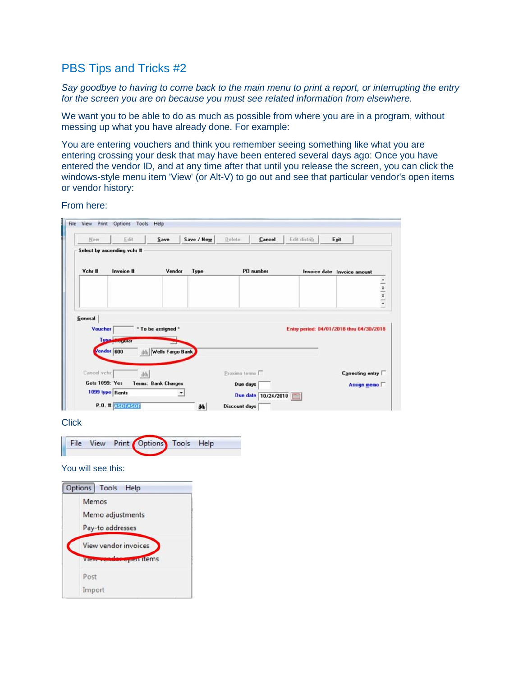## PBS Tips and Tricks #2

*Say goodbye to having to come back to the main menu to print a report, or interrupting the entry for the screen you are on because you must see related information from elsewhere.* 

We want you to be able to do as much as possible from where you are in a program, without messing up what you have already done. For example:

You are entering vouchers and think you remember seeing something like what you are entering crossing your desk that may have been entered several days ago: Once you have entered the vendor ID, and at any time after that until you release the screen, you can click the windows-style menu item 'View' (or Alt-V) to go out and see that particular vendor's open items or vendor history:

From here:



**Click** 



You will see this:

| Options Tools Help                             |  |  |  |  |  |
|------------------------------------------------|--|--|--|--|--|
| Memos<br>Memo adjustments<br>Pay-to addresses  |  |  |  |  |  |
| View vendor invoices<br>View render open items |  |  |  |  |  |
| Post<br>Import                                 |  |  |  |  |  |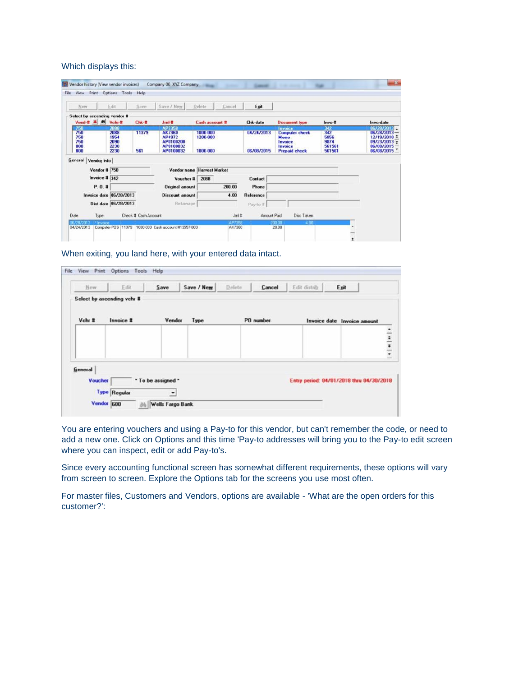## Which displays this:

| New                                             | Edit                                         | Save                 | Save / New                                                        | Delete<br>Cancel                 | Exit                     |                                                                                               |                                                |                                                                                        |
|-------------------------------------------------|----------------------------------------------|----------------------|-------------------------------------------------------------------|----------------------------------|--------------------------|-----------------------------------------------------------------------------------------------|------------------------------------------------|----------------------------------------------------------------------------------------|
| Select by ascending vendor #<br>Vend # 4 Vchr-# |                                              | Chk-#                | $Jm-$ #                                                           | <b>Cash account #</b>            | <b>Chk-date</b>          | <b>Document type</b>                                                                          | Invc-#                                         | Invc-date                                                                              |
| 750<br>750<br>750<br>750<br>800<br>800          | 2888<br>2088<br>1954<br>2090<br>2230<br>2230 | 11379<br>561         | AP7358<br>AK7360<br>AP4972<br>AP0100200<br>AP0100032<br>AP0100032 | 1000-000<br>1200-000<br>1000-000 | 04/24/2013<br>06/08/2015 | <b>Invoice</b><br><b>Computer check</b><br>Memo<br>Invoice<br>Invoice<br><b>Prepaid check</b> | 342<br>342<br>5856<br>9874<br>561561<br>561561 | 06/28/2013<br>06/28/2013-<br>12/19/2010 *<br>09/23/2013 :<br>06/08/2015-<br>06/08/2015 |
| <b>General</b><br>Vendor info                   |                                              |                      |                                                                   | Vendor name Harvest Market       |                          |                                                                                               |                                                |                                                                                        |
| <b>Vendor # 750</b>                             |                                              |                      |                                                                   |                                  |                          |                                                                                               |                                                |                                                                                        |
| Invoice $  $ 342                                |                                              |                      | Voucher #                                                         | 2088                             | Contact                  |                                                                                               |                                                |                                                                                        |
| P.O. #                                          |                                              |                      | <b>Original amount</b>                                            | 200.00                           | Phone                    |                                                                                               |                                                |                                                                                        |
|                                                 | Invoice date 06/28/2013                      |                      | <b>Discount amount</b>                                            | 4.00                             | Reference                |                                                                                               |                                                |                                                                                        |
|                                                 | Dist date 06/28/2013                         |                      | Retainage                                                         |                                  | Pay-to #                 |                                                                                               |                                                |                                                                                        |
| Date<br>Type                                    |                                              | Check # Cash Account |                                                                   | Jeni #                           | Amount Paid              | Disc Taken                                                                                    |                                                |                                                                                        |

When exiting, you land here, with your entered data intact.

| New     | Edit                       | Save                     | Save / New     | Delete <sub></sub> | Cancel    | Edit distrib | Exit                                     |  |
|---------|----------------------------|--------------------------|----------------|--------------------|-----------|--------------|------------------------------------------|--|
|         | Select by ascending vchr # |                          |                |                    |           |              |                                          |  |
| Vchr #  | Invoice #                  |                          | Vendor<br>Type |                    | PO number |              | Invoice date Invoice amount              |  |
|         |                            |                          |                |                    |           |              |                                          |  |
|         |                            |                          |                |                    |           |              |                                          |  |
|         |                            |                          |                |                    |           |              | $\frac{1}{2}$                            |  |
|         |                            |                          |                |                    |           |              |                                          |  |
| General |                            |                          |                |                    |           |              |                                          |  |
| Voucher |                            | * To be assigned *       |                |                    |           |              | Entry period: 04/01/2018 thru 04/30/2018 |  |
|         | <b>Type Regular</b>        | $\overline{\phantom{a}}$ |                |                    |           |              |                                          |  |

You are entering vouchers and using a Pay-to for this vendor, but can't remember the code, or need to add a new one. Click on Options and this time 'Pay-to addresses will bring you to the Pay-to edit screen where you can inspect, edit or add Pay-to's.

Since every accounting functional screen has somewhat different requirements, these options will vary from screen to screen. Explore the Options tab for the screens you use most often.

For master files, Customers and Vendors, options are available - 'What are the open orders for this customer?':